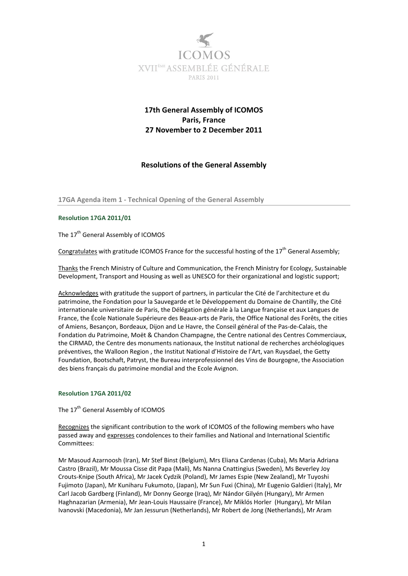

# **17th General Assembly of ICOMOS Paris, France 27 November to 2 December 2011**

# **Resolutions of the General Assembly**

**17GA Agenda item 1 ‐ Technical Opening of the General Assembly**

# **Resolution 17GA 2011/01**

The 17<sup>th</sup> General Assembly of ICOMOS

Congratulates with gratitude ICOMOS France for the successful hosting of the  $17<sup>th</sup>$  General Assembly;

Thanks the French Ministry of Culture and Communication, the French Ministry for Ecology, Sustainable Development, Transport and Housing as well as UNESCO for their organizational and logistic support;

Acknowledges with gratitude the support of partners, in particular the Cité de l'architecture et du patrimoine, the Fondation pour la Sauvegarde et le Développement du Domaine de Chantilly, the Cité internationale universitaire de Paris, the Délégation générale à la Langue française et aux Langues de France, the École Nationale Supérieure des Beaux‐arts de Paris, the Office National des Forêts, the cities of Amiens, Besançon, Bordeaux, Dijon and Le Havre, the Conseil général of the Pas‐de‐Calais, the Fondation du Patrimoine, Moët & Chandon Champagne, the Centre national des Centres Commerciaux, the CIRMAD, the Centre des monuments nationaux, the Institut national de recherches archéologiques préventives, the Walloon Region , the Institut National d'Histoire de l'Art, van Ruysdael, the Getty Foundation, Bootschaft, Patryst, the Bureau interprofessionnel des Vins de Bourgogne, the Association des biens français du patrimoine mondial and the Ecole Avignon.

# **Resolution 17GA 2011/02**

# The 17<sup>th</sup> General Assembly of ICOMOS

Recognizes the significant contribution to the work of ICOMOS of the following members who have passed away and expresses condolences to their families and National and International Scientific Committees:

Mr Masoud Azarnoosh (Iran), Mr Stef Binst (Belgium), Mrs Eliana Cardenas (Cuba), Ms Maria Adriana Castro (Brazil), Mr Moussa Cisse dit Papa (Mali), Ms Nanna Cnattingius (Sweden), Ms Beverley Joy Crouts‐Knipe (South Africa), Mr Jacek Cydzik (Poland), Mr James Espie (New Zealand), Mr Tuyoshi Fujimoto (Japan), Mr Kuniharu Fukumoto, (Japan), Mr Sun Fuxi (China), Mr Eugenio Galdieri (Italy), Mr Carl Jacob Gardberg (Finland), Mr Donny George (Iraq), Mr Nándor Gilyén (Hungary), Mr Armen Haghnazarian (Armenia), Mr Jean‐Louis Haussaire (France), Mr Miklós Horler (Hungary), Mr Milan Ivanovski (Macedonia), Mr Jan Jessurun (Netherlands), Mr Robert de Jong (Netherlands), Mr Aram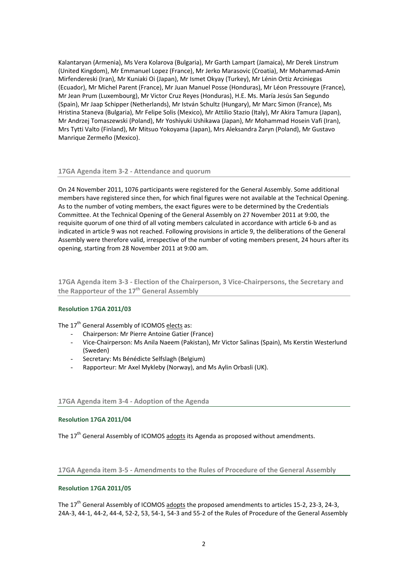Kalantaryan (Armenia), Ms Vera Kolarova (Bulgaria), Mr Garth Lampart (Jamaica), Mr Derek Linstrum (United Kingdom), Mr Emmanuel Lopez (France), Mr Jerko Marasovic (Croatia), Mr Mohammad‐Amin Mirfendereski (Iran), Mr Kuniaki Oi (Japan), Mr Ismet Okyay (Turkey), Mr Lénin Ortiz Arciniegas (Ecuador), Mr Michel Parent (France), Mr Juan Manuel Posse (Honduras), Mr Léon Pressouyre (France), Mr Jean Prum (Luxembourg), Mr Victor Cruz Reyes (Honduras), H.E. Ms. María Jesús San Segundo (Spain), Mr Jaap Schipper (Netherlands), Mr István Schultz (Hungary), Mr Marc Simon (France), Ms Hristina Staneva (Bulgaria), Mr Felipe Solis (Mexico), Mr Attilio Stazio (Italy), Mr Akira Tamura (Japan), Mr Andrzej Tomaszewski (Poland), Mr Yoshiyuki Ushikawa (Japan), Mr Mohammad Hosein Vafi (Iran), Mrs Tytti Valto (Finland), Mr Mitsuo Yokoyama (Japan), Mrs Aleksandra Żaryn (Poland), Mr Gustavo Manrique Zermeño (Mexico).

#### **17GA Agenda item 3‐2 ‐ Attendance and quorum**

On 24 November 2011, 1076 participants were registered for the General Assembly. Some additional members have registered since then, for which final figures were not available at the Technical Opening. As to the number of voting members, the exact figures were to be determined by the Credentials Committee. At the Technical Opening of the General Assembly on 27 November 2011 at 9:00, the requisite quorum of one third of all voting members calculated in accordance with article 6‐b and as indicated in article 9 was not reached. Following provisions in article 9, the deliberations of the General Assembly were therefore valid, irrespective of the number of voting members present, 24 hours after its opening, starting from 28 November 2011 at 9:00 am.

**17GA Agenda item 3‐3 ‐ Election of the Chairperson, 3 Vice‐Chairpersons, the Secretary and the Rapporteur of the 17th General Assembly**

# **Resolution 17GA 2011/03**

The 17<sup>th</sup> General Assembly of ICOMOS elects as:

- Chairperson: Mr Pierre Antoine Gatier (France)
- Vice‐Chairperson: Ms Anila Naeem (Pakistan), Mr Victor Salinas (Spain), Ms Kerstin Westerlund (Sweden)
- Secretary: Ms Bénédicte Selfslagh (Belgium)
- Rapporteur: Mr Axel Mykleby (Norway), and Ms Aylin Orbasli (UK).

# **17GA Agenda item 3‐4 ‐ Adoption of the Agenda**

#### **Resolution 17GA 2011/04**

The 17<sup>th</sup> General Assembly of ICOMOS adopts its Agenda as proposed without amendments.

# **17GA Agenda item 3‐5 ‐ Amendments to the Rules of Procedure of the General Assembly**

# **Resolution 17GA 2011/05**

The  $17<sup>th</sup>$  General Assembly of ICOMOS adopts the proposed amendments to articles 15-2, 23-3, 24-3, 24A‐3, 44‐1, 44‐2, 44‐4, 52‐2, 53, 54‐1, 54‐3 and 55‐2 of the Rules of Procedure of the General Assembly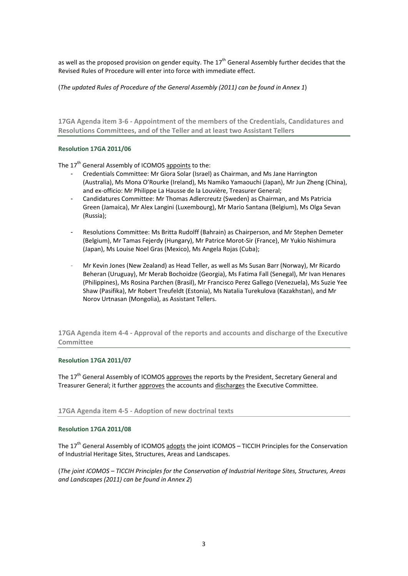as well as the proposed provision on gender equity. The  $17<sup>th</sup>$  General Assembly further decides that the Revised Rules of Procedure will enter into force with immediate effect.

(*The updated Rules of Procedure of the General Assembly (2011) can be found in Annex 1*)

**17GA Agenda item 3‐6 ‐ Appointment of the members of the Credentials, Candidatures and Resolutions Committees, and of the Teller and at least two Assistant Tellers**

# **Resolution 17GA 2011/06**

The  $17<sup>th</sup>$  General Assembly of ICOMOS appoints to the:

- Credentials Committee: Mr Giora Solar (Israel) as Chairman, and Ms Jane Harrington (Australia), Ms Mona O'Rourke (Ireland), Ms Namiko Yamaouchi (Japan), Mr Jun Zheng (China), and ex-officio: Mr Philippe La Hausse de la Louvière, Treasurer General;
- Candidatures Committee: Mr Thomas Adlercreutz (Sweden) as Chairman, and Ms Patricia Green (Jamaica), Mr Alex Langini (Luxembourg), Mr Mario Santana (Belgium), Ms Olga Sevan (Russia);
- Resolutions Committee: Ms Britta Rudolff (Bahrain) as Chairperson, and Mr Stephen Demeter (Belgium), Mr Tamas Fejerdy (Hungary), Mr Patrice Morot‐Sir (France), Mr Yukio Nishimura (Japan), Ms Louise Noel Gras (Mexico), Ms Angela Rojas (Cuba);
- Mr Kevin Jones (New Zealand) as Head Teller, as well as Ms Susan Barr (Norway), Mr Ricardo Beheran (Uruguay), Mr Merab Bochoidze (Georgia), Ms Fatima Fall (Senegal), Mr Ivan Henares (Philippines), Ms Rosina Parchen (Brasil), Mr Francisco Perez Gallego (Venezuela), Ms Suzie Yee Shaw (Pasifika), Mr Robert Treufeldt (Estonia), Ms Natalia Turekulova (Kazakhstan), and Mr Norov Urtnasan (Mongolia), as Assistant Tellers.

**17GA Agenda item 4‐4 ‐ Approval of the reports and accounts and discharge of the Executive Committee**

# **Resolution 17GA 2011/07**

The 17<sup>th</sup> General Assembly of ICOMOS approves the reports by the President, Secretary General and Treasurer General; it further approves the accounts and discharges the Executive Committee.

# **17GA Agenda item 4‐5 ‐ Adoption of new doctrinal texts**

# **Resolution 17GA 2011/08**

The  $17<sup>th</sup>$  General Assembly of ICOMOS adopts the joint ICOMOS – TICCIH Principles for the Conservation of Industrial Heritage Sites, Structures, Areas and Landscapes.

(*The joint ICOMOS – TICCIH Principles for the Conservation of Industrial Heritage Sites, Structures, Areas and Landscapes (2011) can be found in Annex 2*)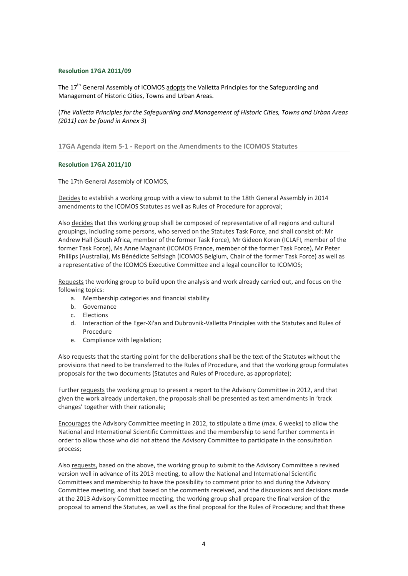#### **Resolution 17GA 2011/09**

The 17<sup>th</sup> General Assembly of ICOMOS adopts the Valletta Principles for the Safeguarding and Management of Historic Cities, Towns and Urban Areas.

(*The Valletta Principles for the Safeguarding and Management of Historic Cities, Towns and Urban Areas (2011) can be found in Annex 3*)

**17GA Agenda item 5‐1 ‐ Report on the Amendments to the ICOMOS Statutes**

#### **Resolution 17GA 2011/10**

The 17th General Assembly of ICOMOS,

Decides to establish a working group with a view to submit to the 18th General Assembly in 2014 amendments to the ICOMOS Statutes as well as Rules of Procedure for approval;

Also decides that this working group shall be composed of representative of all regions and cultural groupings, including some persons, who served on the Statutes Task Force, and shall consist of: Mr Andrew Hall (South Africa, member of the former Task Force), Mr Gideon Koren (ICLAFI, member of the former Task Force), Ms Anne Magnant (ICOMOS France, member of the former Task Force), Mr Peter Phillips (Australia), Ms Bénédicte Selfslagh (ICOMOS Belgium, Chair of the former Task Force) as well as a representative of the ICOMOS Executive Committee and a legal councillor to ICOMOS;

Requests the working group to build upon the analysis and work already carried out, and focus on the following topics:

- a. Membership categories and financial stability
- b. Governance
- c. Elections
- d. Interaction of the Eger‐Xi'an and Dubrovnik‐Valletta Principles with the Statutes and Rules of Procedure
- e. Compliance with legislation;

Also requests that the starting point for the deliberations shall be the text of the Statutes without the provisions that need to be transferred to the Rules of Procedure, and that the working group formulates proposals for the two documents (Statutes and Rules of Procedure, as appropriate);

Further requests the working group to present a report to the Advisory Committee in 2012, and that given the work already undertaken, the proposals shall be presented as text amendments in 'track changes' together with their rationale;

Encourages the Advisory Committee meeting in 2012, to stipulate a time (max. 6 weeks) to allow the National and International Scientific Committees and the membership to send further comments in order to allow those who did not attend the Advisory Committee to participate in the consultation process;

Also requests, based on the above, the working group to submit to the Advisory Committee a revised version well in advance of its 2013 meeting, to allow the National and International Scientific Committees and membership to have the possibility to comment prior to and during the Advisory Committee meeting, and that based on the comments received, and the discussions and decisions made at the 2013 Advisory Committee meeting, the working group shall prepare the final version of the proposal to amend the Statutes, as well as the final proposal for the Rules of Procedure; and that these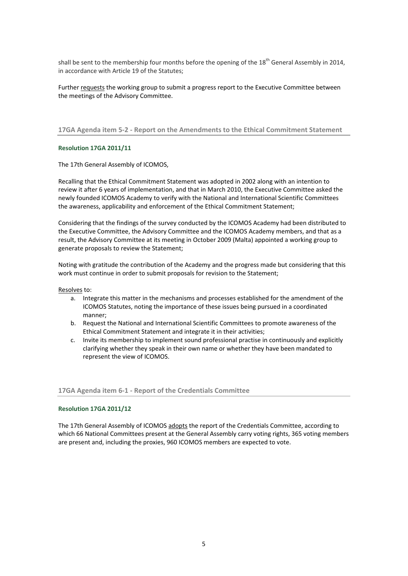shall be sent to the membership four months before the opening of the  $18^{th}$  General Assembly in 2014, in accordance with Article 19 of the Statutes;

Further requests the working group to submit a progress report to the Executive Committee between the meetings of the Advisory Committee.

**17GA Agenda item 5‐2 ‐ Report on the Amendments to the Ethical Commitment Statement**

# **Resolution 17GA 2011/11**

The 17th General Assembly of ICOMOS,

Recalling that the Ethical Commitment Statement was adopted in 2002 along with an intention to review it after 6 years of implementation, and that in March 2010, the Executive Committee asked the newly founded ICOMOS Academy to verify with the National and International Scientific Committees the awareness, applicability and enforcement of the Ethical Commitment Statement;

Considering that the findings of the survey conducted by the ICOMOS Academy had been distributed to the Executive Committee, the Advisory Committee and the ICOMOS Academy members, and that as a result, the Advisory Committee at its meeting in October 2009 (Malta) appointed a working group to generate proposals to review the Statement;

Noting with gratitude the contribution of the Academy and the progress made but considering that this work must continue in order to submit proposals for revision to the Statement;

Resolves to:

- a. Integrate this matter in the mechanisms and processes established for the amendment of the ICOMOS Statutes, noting the importance of these issues being pursued in a coordinated manner;
- b. Request the National and International Scientific Committees to promote awareness of the Ethical Commitment Statement and integrate it in their activities;
- c. Invite its membership to implement sound professional practise in continuously and explicitly clarifying whether they speak in their own name or whether they have been mandated to represent the view of ICOMOS.

#### **17GA Agenda item 6‐1 ‐ Report of the Credentials Committee**

#### **Resolution 17GA 2011/12**

The 17th General Assembly of ICOMOS adopts the report of the Credentials Committee, according to which 66 National Committees present at the General Assembly carry voting rights, 365 voting members are present and, including the proxies, 960 ICOMOS members are expected to vote.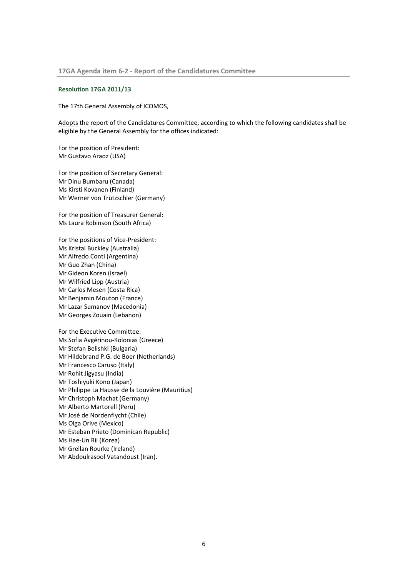#### **Resolution 17GA 2011/13**

The 17th General Assembly of ICOMOS,

Adopts the report of the Candidatures Committee, according to which the following candidates shall be eligible by the General Assembly for the offices indicated:

For the position of President: Mr Gustavo Araoz (USA)

For the position of Secretary General: Mr Dinu Bumbaru (Canada) Ms Kirsti Kovanen (Finland) Mr Werner von Trützschler (Germany)

For the position of Treasurer General: Ms Laura Robinson (South Africa)

For the positions of Vice‐President: Ms Kristal Buckley (Australia) Mr Alfredo Conti (Argentina) Mr Guo Zhan (China) Mr Gideon Koren (Israel) Mr Wilfried Lipp (Austria) Mr Carlos Mesen (Costa Rica) Mr Benjamin Mouton (France) Mr Lazar Sumanov (Macedonia) Mr Georges Zouain (Lebanon)

For the Executive Committee: Ms Sofia Avgérinou‐Kolonias (Greece) Mr Stefan Belishki (Bulgaria) Mr Hildebrand P.G. de Boer (Netherlands) Mr Francesco Caruso (Italy) Mr Rohit Jigyasu (India) Mr Toshiyuki Kono (Japan) Mr Philippe La Hausse de la Louvière (Mauritius) Mr Christoph Machat (Germany) Mr Alberto Martorell (Peru) Mr José de Nordenflycht (Chile) Ms Olga Orive (Mexico) Mr Esteban Prieto (Dominican Republic) Ms Hae‐Un Rii (Korea) Mr Grellan Rourke (Ireland) Mr Abdoulrasool Vatandoust (Iran).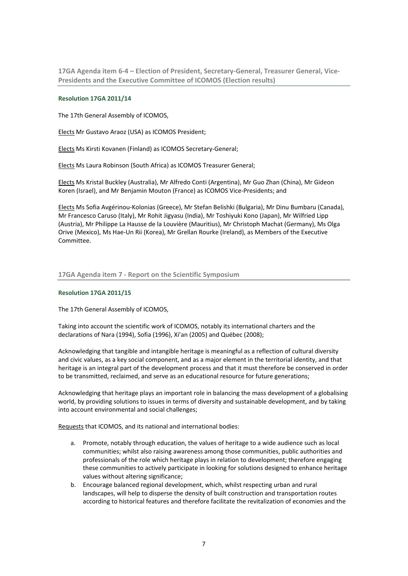**17GA Agenda item 6‐4 – Election of President, Secretary‐General, Treasurer General, Vice‐ Presidents and the Executive Committee of ICOMOS (Election results)**

# **Resolution 17GA 2011/14**

The 17th General Assembly of ICOMOS,

Elects Mr Gustavo Araoz (USA) as ICOMOS President;

Elects Ms Kirsti Kovanen (Finland) as ICOMOS Secretary‐General;

Elects Ms Laura Robinson (South Africa) as ICOMOS Treasurer General;

Elects Ms Kristal Buckley (Australia), Mr Alfredo Conti (Argentina), Mr Guo Zhan (China), Mr Gideon Koren (Israel), and Mr Benjamin Mouton (France) as ICOMOS Vice‐Presidents; and

Elects Ms Sofia Avgérinou‐Kolonias (Greece), Mr Stefan Belishki (Bulgaria), Mr Dinu Bumbaru (Canada), Mr Francesco Caruso (Italy), Mr Rohit Jigyasu (India), Mr Toshiyuki Kono (Japan), Mr Wilfried Lipp (Austria), Mr Philippe La Hausse de la Louvière (Mauritius), Mr Christoph Machat (Germany), Ms Olga Orive (Mexico), Ms Hae‐Un Rii (Korea), Mr Grellan Rourke (Ireland), as Members of the Executive Committee.

# **17GA Agenda item 7 ‐ Report on the Scientific Symposium**

#### **Resolution 17GA 2011/15**

The 17th General Assembly of ICOMOS,

Taking into account the scientific work of ICOMOS, notably its international charters and the declarations of Nara (1994), Sofia (1996), Xi'an (2005) and Québec (2008);

Acknowledging that tangible and intangible heritage is meaningful as a reflection of cultural diversity and civic values, as a key social component, and as a major element in the territorial identity, and that heritage is an integral part of the development process and that it must therefore be conserved in order to be transmitted, reclaimed, and serve as an educational resource for future generations;

Acknowledging that heritage plays an important role in balancing the mass development of a globalising world, by providing solutions to issues in terms of diversity and sustainable development, and by taking into account environmental and social challenges;

Requests that ICOMOS, and its national and international bodies:

- a. Promote, notably through education, the values of heritage to a wide audience such as local communities; whilst also raising awareness among those communities, public authorities and professionals of the role which heritage plays in relation to development; therefore engaging these communities to actively participate in looking for solutions designed to enhance heritage values without altering significance;
- b. Encourage balanced regional development, which, whilst respecting urban and rural landscapes, will help to disperse the density of built construction and transportation routes according to historical features and therefore facilitate the revitalization of economies and the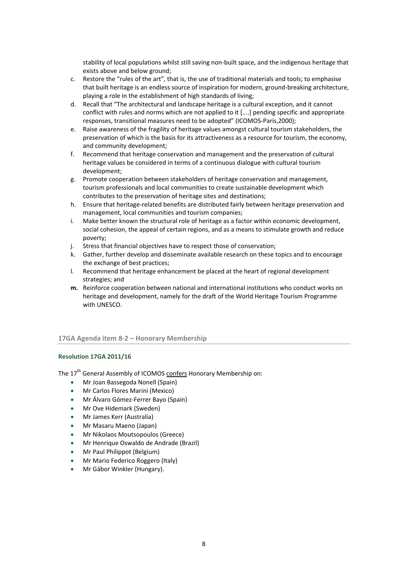stability of local populations whilst still saving non‐built space, and the indigenous heritage that exists above and below ground;

- c. Restore the "rules of the art", that is, the use of traditional materials and tools; to emphasise that built heritage is an endless source of inspiration for modern, ground‐breaking architecture, playing a role in the establishment of high standards of living;
- d. Recall that "The architectural and landscape heritage is a cultural exception, and it cannot conflict with rules and norms which are not applied to it [....] pending specific and appropriate responses, transitional measures need to be adopted" (ICOMOS‐Paris,2000);
- e. Raise awareness of the fragility of heritage values amongst cultural tourism stakeholders, the preservation of which is the basis for its attractiveness as a resource for tourism, the economy, and community development;
- f. Recommend that heritage conservation and management and the preservation of cultural heritage values be considered in terms of a continuous dialogue with cultural tourism development;
- g. Promote cooperation between stakeholders of heritage conservation and management, tourism professionals and local communities to create sustainable development which contributes to the preservation of heritage sites and destinations;
- h. Ensure that heritage-related benefits are distributed fairly between heritage preservation and management, local communities and tourism companies;
- i. Make better known the structural role of heritage as a factor within economic development, social cohesion, the appeal of certain regions, and as a means to stimulate growth and reduce poverty;
- j. Stress that financial objectives have to respect those of conservation;
- k. Gather, further develop and disseminate available research on these topics and to encourage the exchange of best practices;
- l. Recommend that heritage enhancement be placed at the heart of regional development strategies; and
- **m.** Reinforce cooperation between national and international institutions who conduct works on heritage and development, namely for the draft of the World Heritage Tourism Programme with UNESCO.

# **17GA Agenda item 8‐2 – Honorary Membership**

# **Resolution 17GA 2011/16**

The 17<sup>th</sup> General Assembly of ICOMOS confers Honorary Membership on:

- Mr Joan Bassegoda Nonell (Spain)
- Mr Carlos Flores Marini (Mexico)
- Mr Álvaro Gómez-Ferrer Bayo (Spain)
- Mr Ove Hidemark (Sweden)
- Mr James Kerr (Australia)
- Mr Masaru Maeno (Japan)
- Mr Nikolaos Moutsopoulos (Greece)
- Mr Henrique Oswaldo de Andrade (Brazil)
- Mr Paul Philippot (Belgium)
- Mr Mario Federico Roggero (Italy)
- Mr Gábor Winkler (Hungary).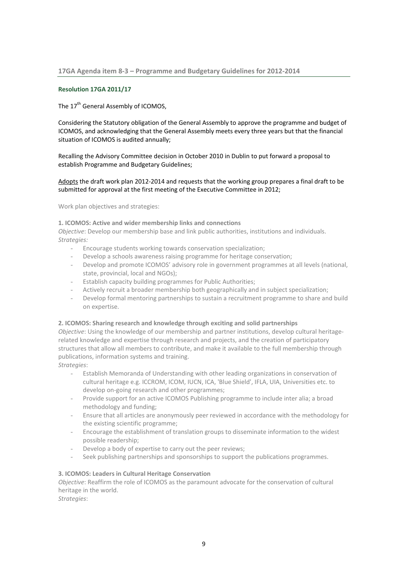# **Resolution 17GA 2011/17**

# The 17<sup>th</sup> General Assembly of ICOMOS.

Considering the Statutory obligation of the General Assembly to approve the programme and budget of ICOMOS, and acknowledging that the General Assembly meets every three years but that the financial situation of ICOMOS is audited annually;

Recalling the Advisory Committee decision in October 2010 in Dublin to put forward a proposal to establish Programme and Budgetary Guidelines;

# Adopts the draft work plan 2012‐2014 and requests that the working group prepares a final draft to be submitted for approval at the first meeting of the Executive Committee in 2012;

Work plan objectives and strategies:

# **1. ICOMOS: Active and wider membership links and connections**

*Objective*: Develop our membership base and link public authorities, institutions and individuals. *Strategies:*

- Encourage students working towards conservation specialization;
- Develop a schools awareness raising programme for heritage conservation;
- Develop and promote ICOMOS' advisory role in government programmes at all levels (national, state, provincial, local and NGOs);
- Establish capacity building programmes for Public Authorities;
- Actively recruit a broader membership both geographically and in subject specialization;
- Develop formal mentoring partnerships to sustain a recruitment programme to share and build on expertise.

# **2. ICOMOS: Sharing research and knowledge through exciting and solid partnerships**

*Objective*: Using the knowledge of our membership and partner institutions, develop cultural heritagerelated knowledge and expertise through research and projects, and the creation of participatory structures that allow all members to contribute, and make it available to the full membership through publications, information systems and training.

*Strategies*:

- Establish Memoranda of Understanding with other leading organizations in conservation of cultural heritage e.g. ICCROM, ICOM, IUCN, ICA, 'Blue Shield', IFLA, UIA, Universities etc. to develop on‐going research and other programmes;
- Provide support for an active ICOMOS Publishing programme to include inter alia; a broad methodology and funding;
- Ensure that all articles are anonymously peer reviewed in accordance with the methodology for the existing scientific programme;
- Encourage the establishment of translation groups to disseminate information to the widest possible readership;
- Develop a body of expertise to carry out the peer reviews;
- Seek publishing partnerships and sponsorships to support the publications programmes.

# **3. ICOMOS: Leaders in Cultural Heritage Conservation**

*Objective*: Reaffirm the role of ICOMOS as the paramount advocate for the conservation of cultural heritage in the world.

*Strategies*: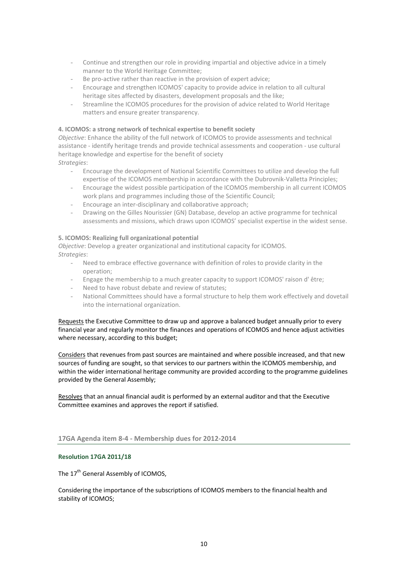- Continue and strengthen our role in providing impartial and objective advice in a timely manner to the World Heritage Committee;
- Be pro-active rather than reactive in the provision of expert advice;
- Encourage and strengthen ICOMOS' capacity to provide advice in relation to all cultural heritage sites affected by disasters, development proposals and the like;
- Streamline the ICOMOS procedures for the provision of advice related to World Heritage matters and ensure greater transparency.

# **4. ICOMOS: a strong network of technical expertise to benefit society**

*Objective*: Enhance the ability of the full network of ICOMOS to provide assessments and technical assistance ‐ identify heritage trends and provide technical assessments and cooperation ‐ use cultural heritage knowledge and expertise for the benefit of society *Strategies*:

- Encourage the development of National Scientific Committees to utilize and develop the full expertise of the ICOMOS membership in accordance with the Dubrovnik‐Valletta Principles;
- Encourage the widest possible participation of the ICOMOS membership in all current ICOMOS work plans and programmes including those of the Scientific Council;
- Encourage an inter‐disciplinary and collaborative approach;
- Drawing on the Gilles Nourissier (GN) Database, develop an active programme for technical assessments and missions, which draws upon ICOMOS' specialist expertise in the widest sense.

# **5. ICOMOS: Realizing full organizational potential**

*Objective*: Develop a greater organizational and institutional capacity for ICOMOS. *Strategies*:

- Need to embrace effective governance with definition of roles to provide clarity in the operation;
- Engage the membership to a much greater capacity to support ICOMOS' raison d' être;
- Need to have robust debate and review of statutes;
- National Committees should have a formal structure to help them work effectively and dovetail into the international organization.

Requests the Executive Committee to draw up and approve a balanced budget annually prior to every financial year and regularly monitor the finances and operations of ICOMOS and hence adjust activities where necessary, according to this budget;

Considers that revenues from past sources are maintained and where possible increased, and that new sources of funding are sought, so that services to our partners within the ICOMOS membership, and within the wider international heritage community are provided according to the programme guidelines provided by the General Assembly;

Resolves that an annual financial audit is performed by an external auditor and that the Executive Committee examines and approves the report if satisfied.

# **17GA Agenda item 8‐4 ‐ Membership dues for 2012‐2014**

# **Resolution 17GA 2011/18**

The 17<sup>th</sup> General Assembly of ICOMOS,

Considering the importance of the subscriptions of ICOMOS members to the financial health and stability of ICOMOS;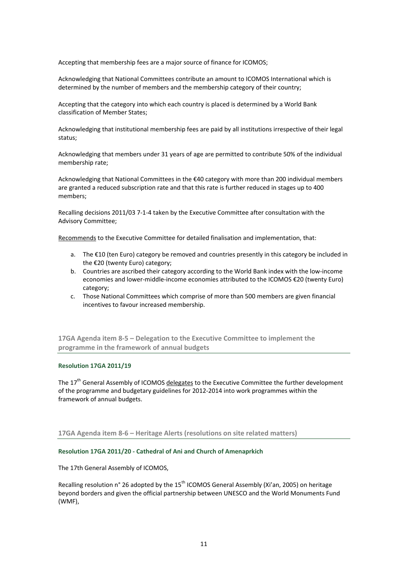Accepting that membership fees are a major source of finance for ICOMOS;

Acknowledging that National Committees contribute an amount to ICOMOS International which is determined by the number of members and the membership category of their country;

Accepting that the category into which each country is placed is determined by a World Bank classification of Member States;

Acknowledging that institutional membership fees are paid by all institutions irrespective of their legal status;

Acknowledging that members under 31 years of age are permitted to contribute 50% of the individual membership rate;

Acknowledging that National Committees in the €40 category with more than 200 individual members are granted a reduced subscription rate and that this rate is further reduced in stages up to 400 members;

Recalling decisions 2011/03 7‐1‐4 taken by the Executive Committee after consultation with the Advisory Committee;

Recommends to the Executive Committee for detailed finalisation and implementation, that:

- a. The €10 (ten Euro) category be removed and countries presently in this category be included in the €20 (twenty Euro) category;
- b. Countries are ascribed their category according to the World Bank index with the low‐income economies and lower-middle-income economies attributed to the ICOMOS €20 (twenty Euro) category;
- c. Those National Committees which comprise of more than 500 members are given financial incentives to favour increased membership.

**17GA Agenda item 8‐5 – Delegation to the Executive Committee to implement the programme in the framework of annual budgets**

# **Resolution 17GA 2011/19**

The  $17<sup>th</sup>$  General Assembly of ICOMOS delegates to the Executive Committee the further development of the programme and budgetary guidelines for 2012‐2014 into work programmes within the framework of annual budgets.

**17GA Agenda item 8‐6 – Heritage Alerts (resolutions on site related matters)**

#### **Resolution 17GA 2011/20 ‐ Cathedral of Ani and Church of Amenaprkich**

The 17th General Assembly of ICOMOS,

Recalling resolution n° 26 adopted by the  $15<sup>th</sup>$  ICOMOS General Assembly (Xi'an, 2005) on heritage beyond borders and given the official partnership between UNESCO and the World Monuments Fund (WMF),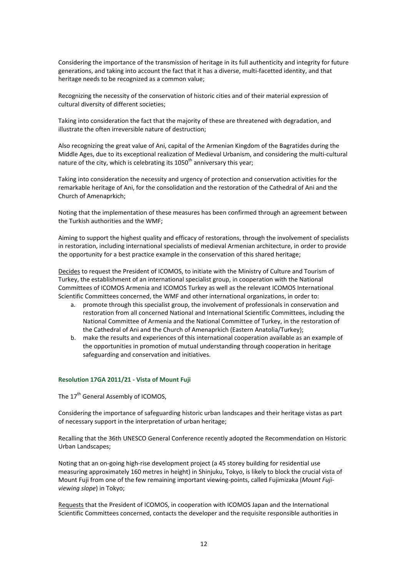Considering the importance of the transmission of heritage in its full authenticity and integrity for future generations, and taking into account the fact that it has a diverse, multi‐facetted identity, and that heritage needs to be recognized as a common value;

Recognizing the necessity of the conservation of historic cities and of their material expression of cultural diversity of different societies;

Taking into consideration the fact that the majority of these are threatened with degradation, and illustrate the often irreversible nature of destruction;

Also recognizing the great value of Ani, capital of the Armenian Kingdom of the Bagratides during the Middle Ages, due to its exceptional realization of Medieval Urbanism, and considering the multi‐cultural nature of the city, which is celebrating its  $1050<sup>th</sup>$  anniversary this year:

Taking into consideration the necessity and urgency of protection and conservation activities for the remarkable heritage of Ani, for the consolidation and the restoration of the Cathedral of Ani and the Church of Amenaprkich;

Noting that the implementation of these measures has been confirmed through an agreement between the Turkish authorities and the WMF;

Aiming to support the highest quality and efficacy of restorations, through the involvement of specialists in restoration, including international specialists of medieval Armenian architecture, in order to provide the opportunity for a best practice example in the conservation of this shared heritage;

Decides to request the President of ICOMOS, to initiate with the Ministry of Culture and Tourism of Turkey, the establishment of an international specialist group, in cooperation with the National Committees of ICOMOS Armenia and ICOMOS Turkey as well as the relevant ICOMOS International Scientific Committees concerned, the WMF and other international organizations, in order to:

- a. promote through this specialist group, the involvement of professionals in conservation and restoration from all concerned National and International Scientific Committees, including the National Committee of Armenia and the National Committee of Turkey, in the restoration of the Cathedral of Ani and the Church of Amenaprkich (Eastern Anatolia/Turkey);
- b. make the results and experiences of this international cooperation available as an example of the opportunities in promotion of mutual understanding through cooperation in heritage safeguarding and conservation and initiatives.

# **Resolution 17GA 2011/21 ‐ Vista of Mount Fuji**

The 17<sup>th</sup> General Assembly of ICOMOS.

Considering the importance of safeguarding historic urban landscapes and their heritage vistas as part of necessary support in the interpretation of urban heritage;

Recalling that the 36th UNESCO General Conference recently adopted the Recommendation on Historic Urban Landscapes;

Noting that an on‐going high‐rise development project (a 45 storey building for residential use measuring approximately 160 metres in height) in Shinjuku, Tokyo, is likely to block the crucial vista of Mount Fuji from one of the few remaining important viewing‐points, called Fujimizaka (*Mount Fuji‐ viewing slope*) in Tokyo;

Requests that the President of ICOMOS, in cooperation with ICOMOS Japan and the International Scientific Committees concerned, contacts the developer and the requisite responsible authorities in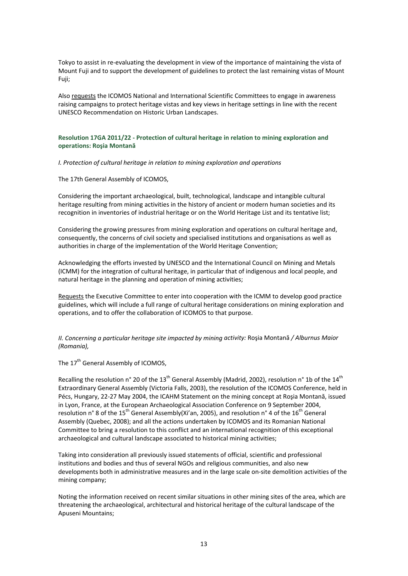Tokyo to assist in re‐evaluating the development in view of the importance of maintaining the vista of Mount Fuji and to support the development of guidelines to protect the last remaining vistas of Mount Fuji;

Also requests the ICOMOS National and International Scientific Committees to engage in awareness raising campaigns to protect heritage vistas and key views in heritage settings in line with the recent UNESCO Recommendation on Historic Urban Landscapes.

# **Resolution 17GA 2011/22 ‐ Protection of cultural heritage in relation to mining exploration and operations: Roşia Montană**

*I. Protection of cultural heritage in relation to mining exploration and operations*

The 17th General Assembly of ICOMOS,

Considering the important archaeological, built, technological, landscape and intangible cultural heritage resulting from mining activities in the history of ancient or modern human societies and its recognition in inventories of industrial heritage or on the World Heritage List and its tentative list;

Considering the growing pressures from mining exploration and operations on cultural heritage and, consequently, the concerns of civil society and specialised institutions and organisations as well as authorities in charge of the implementation of the World Heritage Convention;

Acknowledging the efforts invested by UNESCO and the International Council on Mining and Metals (ICMM) for the integration of cultural heritage, in particular that of indigenous and local people, and natural heritage in the planning and operation of mining activities;

Requests the Executive Committee to enter into cooperation with the ICMM to develop good practice guidelines, which will include a full range of cultural heritage considerations on mining exploration and operations, and to offer the collaboration of ICOMOS to that purpose.

*II. Concerning a particular heritage site impacted by mining activity:* Roşia Montană */ Alburnus Maior (Romania),*

The 17<sup>th</sup> General Assembly of ICOMOS,

Recalling the resolution n° 20 of the 13<sup>th</sup> General Assembly (Madrid, 2002), resolution n° 1b of the 14<sup>th</sup> Extraordinary General Assembly (Victoria Falls, 2003), the resolution of the ICOMOS Conference, held in Pécs, Hungary, 22‐27 May 2004, the ICAHM Statement on the mining concept at Roşia Montană, issued in Lyon, France, at the European Archaeological Association Conference on 9 September 2004, resolution n° 8 of the 15<sup>th</sup> General Assembly(Xi'an, 2005), and resolution n° 4 of the 16<sup>th</sup> General Assembly (Quebec, 2008); and all the actions undertaken by ICOMOS and its Romanian National Committee to bring a resolution to this conflict and an international recognition of this exceptional archaeological and cultural landscape associated to historical mining activities;

Taking into consideration all previously issued statements of official, scientific and professional institutions and bodies and thus of several NGOs and religious communities, and also new developments both in administrative measures and in the large scale on‐site demolition activities of the mining company;

Noting the information received on recent similar situations in other mining sites of the area, which are threatening the archaeological, architectural and historical heritage of the cultural landscape of the Apuseni Mountains;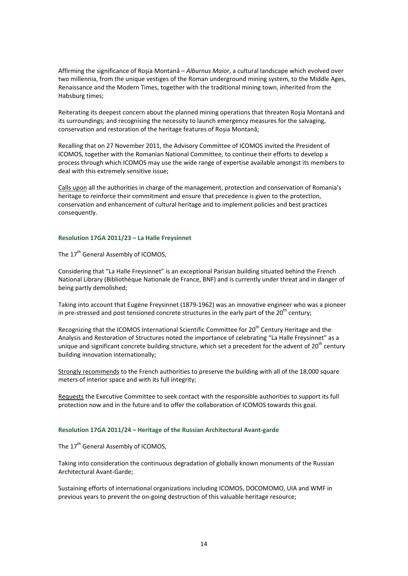Affirming the significance of Roşia Montană – *Alburnus Maior*, a cultural landscape which evolved over two millennia, from the unique vestiges of the Roman underground mining system, to the Middle Ages, Renaissance and the Modern Times, together with the traditional mining town, inherited from the Habsburg times;

Reiterating its deepest concern about the planned mining operations that threaten Roşia Montană and its surroundings; and recognising the necessity to launch emergency measures for the salvaging, conservation and restoration of the heritage features of Roşia Montană;

Recalling that on 27 November 2011, the Advisory Committee of ICOMOS invited the President of ICOMOS, together with the Romanian National Committee, to continue their efforts to develop a process through which ICOMOS may use the wide range of expertise available amongst its members to deal with this extremely sensitive issue;

Calls upon all the authorities in charge of the management, protection and conservation of Romania's heritage to reinforce their commitment and ensure that precedence is given to the protection, conservation and enhancement of cultural heritage and to implement policies and best practices consequently.

#### **Resolution 17GA 2011/23 – La Halle Freysinnet**

The 17<sup>th</sup> General Assembly of ICOMOS,

Considering that "La Halle Freysinnet" is an exceptional Parisian building situated behind the French National Library (Bibliothèque Nationale de France, BNF) and is currently under threat and in danger of being partly demolished;

Taking into account that Eugène Freysinnet (1879‐1962) was an innovative engineer who was a pioneer in pre-stressed and post tensioned concrete structures in the early part of the  $20^{th}$  century;

Recognizing that the ICOMOS International Scientific Committee for 20<sup>th</sup> Century Heritage and the Analysis and Restoration of Structures noted the importance of celebrating "La Halle Freysinnet" as a unique and significant concrete building structure, which set a precedent for the advent of 20<sup>th</sup> century building innovation internationally;

Strongly recommends to the French authorities to preserve the building with all of the 18,000 square meters of interior space and with its full integrity;

Requests the Executive Committee to seek contact with the responsible authorities to support its full protection now and in the future and to offer the collaboration of ICOMOS towards this goal.

# **Resolution 17GA 2011/24 – Heritage of the Russian Architectural Avant‐garde**

The 17<sup>th</sup> General Assembly of ICOMOS.

Taking into consideration the continuous degradation of globally known monuments of the Russian Architectural Avant‐Garde;

Sustaining efforts of international organizations including ICOMOS, DOCOMOMO, UIA and WMF in previous years to prevent the on-going destruction of this valuable heritage resource;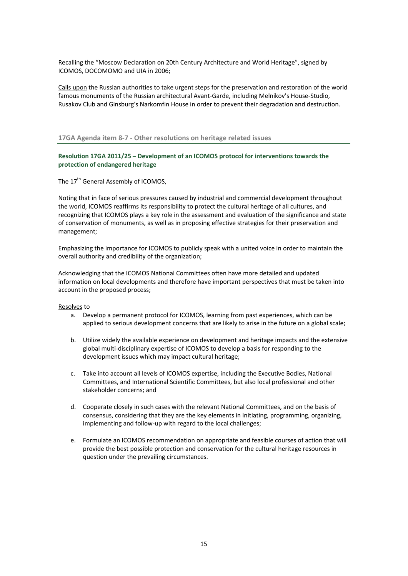Recalling the "Moscow Declaration on 20th Century Architecture and World Heritage", signed by ICOMOS, DOCOMOMO and UIA in 2006;

Calls upon the Russian authorities to take urgent steps for the preservation and restoration of the world famous monuments of the Russian architectural Avant‐Garde, including Melnikov's House‐Studio, Rusakov Club and Ginsburg's Narkomfin House in order to prevent their degradation and destruction.

# **17GA Agenda item 8‐7 ‐ Other resolutions on heritage related issues**

**Resolution 17GA 2011/25 – Development of an ICOMOS protocol for interventions towards the protection of endangered heritage** 

The 17<sup>th</sup> General Assembly of ICOMOS,

Noting that in face of serious pressures caused by industrial and commercial development throughout the world, ICOMOS reaffirms its responsibility to protect the cultural heritage of all cultures, and recognizing that ICOMOS plays a key role in the assessment and evaluation of the significance and state of conservation of monuments, as well as in proposing effective strategies for their preservation and management;

Emphasizing the importance for ICOMOS to publicly speak with a united voice in order to maintain the overall authority and credibility of the organization;

Acknowledging that the ICOMOS National Committees often have more detailed and updated information on local developments and therefore have important perspectives that must be taken into account in the proposed process;

#### Resolves to

- a. Develop a permanent protocol for ICOMOS, learning from past experiences, which can be applied to serious development concerns that are likely to arise in the future on a global scale;
- b. Utilize widely the available experience on development and heritage impacts and the extensive global multi‐disciplinary expertise of ICOMOS to develop a basis for responding to the development issues which may impact cultural heritage;
- c. Take into account all levels of ICOMOS expertise, including the Executive Bodies, National Committees, and International Scientific Committees, but also local professional and other stakeholder concerns; and
- d. Cooperate closely in such cases with the relevant National Committees, and on the basis of consensus, considering that they are the key elements in initiating, programming, organizing, implementing and follow-up with regard to the local challenges;
- e. Formulate an ICOMOS recommendation on appropriate and feasible courses of action that will provide the best possible protection and conservation for the cultural heritage resources in question under the prevailing circumstances.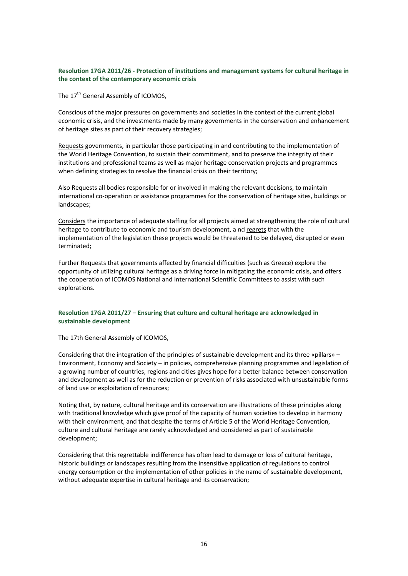# **Resolution 17GA 2011/26 ‐ Protection of institutions and management systems for cultural heritage in the context of the contemporary economic crisis**

The 17<sup>th</sup> General Assembly of ICOMOS.

Conscious of the major pressures on governments and societies in the context of the current global economic crisis, and the investments made by many governments in the conservation and enhancement of heritage sites as part of their recovery strategies;

Requests governments, in particular those participating in and contributing to the implementation of the World Heritage Convention, to sustain their commitment, and to preserve the integrity of their institutions and professional teams as well as major heritage conservation projects and programmes when defining strategies to resolve the financial crisis on their territory;

Also Requests all bodies responsible for or involved in making the relevant decisions, to maintain international co‐operation or assistance programmes for the conservation of heritage sites, buildings or landscapes;

Considers the importance of adequate staffing for all projects aimed at strengthening the role of cultural heritage to contribute to economic and tourism development, a nd regrets that with the implementation of the legislation these projects would be threatened to be delayed, disrupted or even terminated;

Further Requests that governments affected by financial difficulties (such as Greece) explore the opportunity of utilizing cultural heritage as a driving force in mitigating the economic crisis, and offers the cooperation of ICOMOS National and International Scientific Committees to assist with such explorations.

# **Resolution 17GA 2011/27 – Ensuring that culture and cultural heritage are acknowledged in sustainable development**

The 17th General Assembly of ICOMOS,

Considering that the integration of the principles of sustainable development and its three «pillars» – Environment, Economy and Society – in policies, comprehensive planning programmes and legislation of a growing number of countries, regions and cities gives hope for a better balance between conservation and development as well as for the reduction or prevention of risks associated with unsustainable forms of land use or exploitation of resources;

Noting that, by nature, cultural heritage and its conservation are illustrations of these principles along with traditional knowledge which give proof of the capacity of human societies to develop in harmony with their environment, and that despite the terms of Article 5 of the World Heritage Convention, culture and cultural heritage are rarely acknowledged and considered as part of sustainable development;

Considering that this regrettable indifference has often lead to damage or loss of cultural heritage, historic buildings or landscapes resulting from the insensitive application of regulations to control energy consumption or the implementation of other policies in the name of sustainable development, without adequate expertise in cultural heritage and its conservation;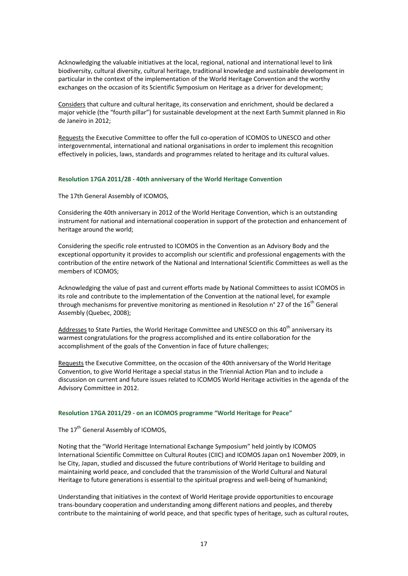Acknowledging the valuable initiatives at the local, regional, national and international level to link biodiversity, cultural diversity, cultural heritage, traditional knowledge and sustainable development in particular in the context of the implementation of the World Heritage Convention and the worthy exchanges on the occasion of its Scientific Symposium on Heritage as a driver for development;

Considers that culture and cultural heritage, its conservation and enrichment, should be declared a major vehicle (the "fourth pillar") for sustainable development at the next Earth Summit planned in Rio de Janeiro in 2012;

Requests the Executive Committee to offer the full co-operation of ICOMOS to UNESCO and other intergovernmental, international and national organisations in order to implement this recognition effectively in policies, laws, standards and programmes related to heritage and its cultural values.

#### **Resolution 17GA 2011/28 ‐ 40th anniversary of the World Heritage Convention**

The 17th General Assembly of ICOMOS,

Considering the 40th anniversary in 2012 of the World Heritage Convention, which is an outstanding instrument for national and international cooperation in support of the protection and enhancement of heritage around the world;

Considering the specific role entrusted to ICOMOS in the Convention as an Advisory Body and the exceptional opportunity it provides to accomplish our scientific and professional engagements with the contribution of the entire network of the National and International Scientific Committees as well as the members of ICOMOS;

Acknowledging the value of past and current efforts made by National Committees to assist ICOMOS in its role and contribute to the implementation of the Convention at the national level, for example through mechanisms for preventive monitoring as mentioned in Resolution  $n^{\circ}$  27 of the 16<sup>th</sup> General Assembly (Quebec, 2008);

Addresses to State Parties, the World Heritage Committee and UNESCO on this 40<sup>th</sup> anniversary its warmest congratulations for the progress accomplished and its entire collaboration for the accomplishment of the goals of the Convention in face of future challenges;

Requests the Executive Committee, on the occasion of the 40th anniversary of the World Heritage Convention, to give World Heritage a special status in the Triennial Action Plan and to include a discussion on current and future issues related to ICOMOS World Heritage activities in the agenda of the Advisory Committee in 2012.

# **Resolution 17GA 2011/29 ‐ on an ICOMOS programme "World Heritage for Peace"**

The 17<sup>th</sup> General Assembly of ICOMOS.

Noting that the "World Heritage International Exchange Symposium" held jointly by ICOMOS International Scientific Committee on Cultural Routes (CIIC) and ICOMOS Japan on1 November 2009, in Ise City, Japan, studied and discussed the future contributions of World Heritage to building and maintaining world peace, and concluded that the transmission of the World Cultural and Natural Heritage to future generations is essential to the spiritual progress and well-being of humankind;

Understanding that initiatives in the context of World Heritage provide opportunities to encourage trans‐boundary cooperation and understanding among different nations and peoples, and thereby contribute to the maintaining of world peace, and that specific types of heritage, such as cultural routes,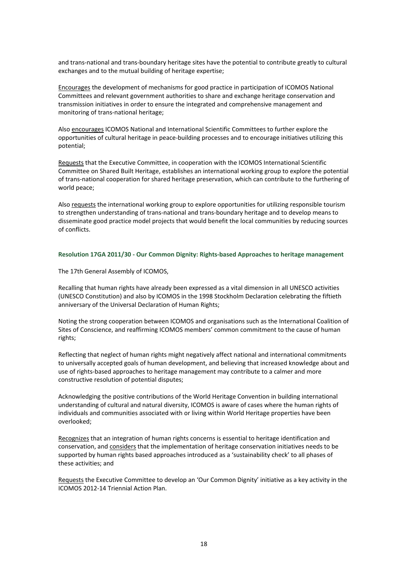and trans‐national and trans‐boundary heritage sites have the potential to contribute greatly to cultural exchanges and to the mutual building of heritage expertise;

Encourages the development of mechanisms for good practice in participation of ICOMOS National Committees and relevant government authorities to share and exchange heritage conservation and transmission initiatives in order to ensure the integrated and comprehensive management and monitoring of trans‐national heritage;

Also encourages ICOMOS National and International Scientific Committees to further explore the opportunities of cultural heritage in peace‐building processes and to encourage initiatives utilizing this potential;

Requests that the Executive Committee, in cooperation with the ICOMOS International Scientific Committee on Shared Built Heritage, establishes an international working group to explore the potential of trans‐national cooperation for shared heritage preservation, which can contribute to the furthering of world peace;

Also requests the international working group to explore opportunities for utilizing responsible tourism to strengthen understanding of trans‐national and trans‐boundary heritage and to develop means to disseminate good practice model projects that would benefit the local communities by reducing sources of conflicts.

#### **Resolution 17GA 2011/30 ‐ Our Common Dignity: Rights‐based Approaches to heritage management**

The 17th General Assembly of ICOMOS,

Recalling that human rights have already been expressed as a vital dimension in all UNESCO activities (UNESCO Constitution) and also by ICOMOS in the 1998 Stockholm Declaration celebrating the fiftieth anniversary of the Universal Declaration of Human Rights;

Noting the strong cooperation between ICOMOS and organisations such as the International Coalition of Sites of Conscience, and reaffirming ICOMOS members' common commitment to the cause of human rights;

Reflecting that neglect of human rights might negatively affect national and international commitments to universally accepted goals of human development, and believing that increased knowledge about and use of rights-based approaches to heritage management may contribute to a calmer and more constructive resolution of potential disputes;

Acknowledging the positive contributions of the World Heritage Convention in building international understanding of cultural and natural diversity, ICOMOS is aware of cases where the human rights of individuals and communities associated with or living within World Heritage properties have been overlooked;

Recognizes that an integration of human rights concerns is essential to heritage identification and conservation, and considers that the implementation of heritage conservation initiatives needs to be supported by human rights based approaches introduced as a 'sustainability check' to all phases of these activities; and

Requests the Executive Committee to develop an 'Our Common Dignity' initiative as a key activity in the ICOMOS 2012‐14 Triennial Action Plan.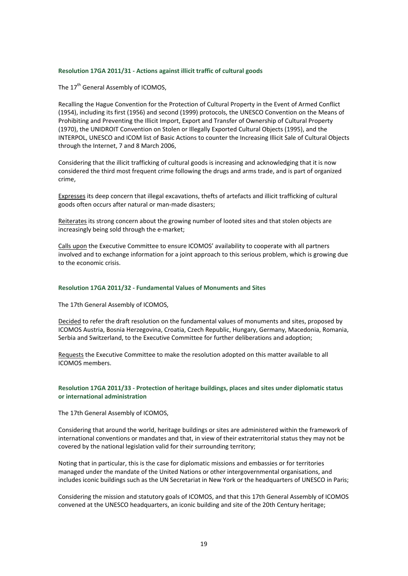#### **Resolution 17GA 2011/31 ‐ Actions against illicit traffic of cultural goods**

The 17<sup>th</sup> General Assembly of ICOMOS.

Recalling the Hague Convention for the Protection of Cultural Property in the Event of Armed Conflict (1954), including its first (1956) and second (1999) protocols, the UNESCO Convention on the Means of Prohibiting and Preventing the Illicit Import, Export and Transfer of Ownership of Cultural Property (1970), the UNIDROIT Convention on Stolen or Illegally Exported Cultural Objects (1995), and the INTERPOL, UNESCO and ICOM list of Basic Actions to counter the Increasing Illicit Sale of Cultural Objects through the Internet, 7 and 8 March 2006,

Considering that the illicit trafficking of cultural goods is increasing and acknowledging that it is now considered the third most frequent crime following the drugs and arms trade, and is part of organized crime,

Expresses its deep concern that illegal excavations, thefts of artefacts and illicit trafficking of cultural goods often occurs after natural or man‐made disasters;

Reiterates its strong concern about the growing number of looted sites and that stolen objects are increasingly being sold through the e-market;

Calls upon the Executive Committee to ensure ICOMOS' availability to cooperate with all partners involved and to exchange information for a joint approach to this serious problem, which is growing due to the economic crisis.

#### **Resolution 17GA 2011/32 ‐ Fundamental Values of Monuments and Sites**

The 17th General Assembly of ICOMOS,

Decided to refer the draft resolution on the fundamental values of monuments and sites, proposed by ICOMOS Austria, Bosnia Herzegovina, Croatia, Czech Republic, Hungary, Germany, Macedonia, Romania, Serbia and Switzerland, to the Executive Committee for further deliberations and adoption;

Requests the Executive Committee to make the resolution adopted on this matter available to all ICOMOS members.

#### **Resolution 17GA 2011/33 ‐ Protection of heritage buildings, places and sites under diplomatic status or international administration**

The 17th General Assembly of ICOMOS,

Considering that around the world, heritage buildings or sites are administered within the framework of international conventions or mandates and that, in view of their extraterritorial status they may not be covered by the national legislation valid for their surrounding territory;

Noting that in particular, this is the case for diplomatic missions and embassies or for territories managed under the mandate of the United Nations or other intergovernmental organisations, and includes iconic buildings such as the UN Secretariat in New York or the headquarters of UNESCO in Paris;

Considering the mission and statutory goals of ICOMOS, and that this 17th General Assembly of ICOMOS convened at the UNESCO headquarters, an iconic building and site of the 20th Century heritage;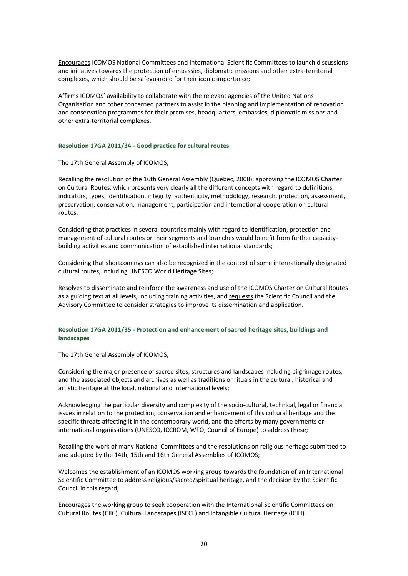Encourages ICOMOS National Committees and International Scientific Committees to launch discussions and initiatives towards the protection of embassies, diplomatic missions and other extra-territorial complexes, which should be safeguarded for their iconic importance;

Affirms ICOMOS' availability to collaborate with the relevant agencies of the United Nations Organisation and other concerned partners to assist in the planning and implementation of renovation and conservation programmes for their premises, headquarters, embassies, diplomatic missions and other extra‐territorial complexes.

#### **Resolution 17GA 2011/34 ‐ Good practice for cultural routes**

The 17th General Assembly of ICOMOS,

Recalling the resolution of the 16th General Assembly (Quebec, 2008), approving the ICOMOS Charter on Cultural Routes, which presents very clearly all the different concepts with regard to definitions, indicators, types, identification, integrity, authenticity, methodology, research, protection, assessment, preservation, conservation, management, participation and international cooperation on cultural routes;

Considering that practices in several countries mainly with regard to identification, protection and management of cultural routes or their segments and branches would benefit from further capacity‐ building activities and communication of established international standards;

Considering that shortcomings can also be recognized in the context of some internationally designated cultural routes, including UNESCO World Heritage Sites;

Resolves to disseminate and reinforce the awareness and use of the ICOMOS Charter on Cultural Routes as a guiding text at all levels, including training activities, and requests the Scientific Council and the Advisory Committee to consider strategies to improve its dissemination and application.

#### **Resolution 17GA 2011/35 ‐ Protection and enhancement of sacred heritage sites, buildings and landscapes**

The 17th General Assembly of ICOMOS,

Considering the major presence of sacred sites, structures and landscapes including pilgrimage routes, and the associated objects and archives as well as traditions or rituals in the cultural, historical and artistic heritage at the local, national and international levels;

Acknowledging the particular diversity and complexity of the socio‐cultural, technical, legal or financial issues in relation to the protection, conservation and enhancement of this cultural heritage and the specific threats affecting it in the contemporary world, and the efforts by many governments or international organisations (UNESCO, ICCROM, WTO, Council of Europe) to address these;

Recalling the work of many National Committees and the resolutions on religious heritage submitted to and adopted by the 14th, 15th and 16th General Assemblies of ICOMOS;

Welcomes the establishment of an ICOMOS working group towards the foundation of an International Scientific Committee to address religious/sacred/spiritual heritage, and the decision by the Scientific Council in this regard;

Encourages the working group to seek cooperation with the International Scientific Committees on Cultural Routes (CIIC), Cultural Landscapes (ISCCL) and Intangible Cultural Heritage (ICIH).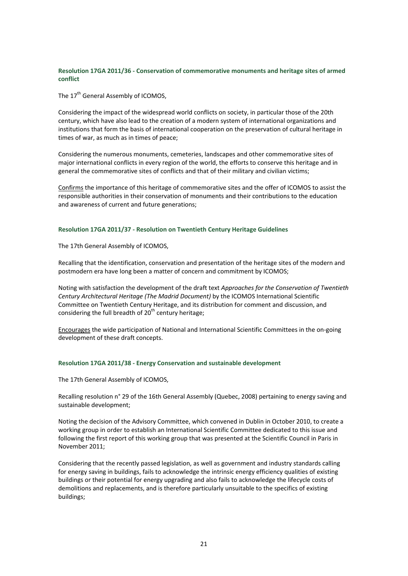# **Resolution 17GA 2011/36 ‐ Conservation of commemorative monuments and heritage sites of armed conflict**

The 17<sup>th</sup> General Assembly of ICOMOS.

Considering the impact of the widespread world conflicts on society, in particular those of the 20th century, which have also lead to the creation of a modern system of international organizations and institutions that form the basis of international cooperation on the preservation of cultural heritage in times of war, as much as in times of peace;

Considering the numerous monuments, cemeteries, landscapes and other commemorative sites of major international conflicts in every region of the world, the efforts to conserve this heritage and in general the commemorative sites of conflicts and that of their military and civilian victims;

Confirms the importance of this heritage of commemorative sites and the offer of ICOMOS to assist the responsible authorities in their conservation of monuments and their contributions to the education and awareness of current and future generations;

#### **Resolution 17GA 2011/37 ‐ Resolution on Twentieth Century Heritage Guidelines**

The 17th General Assembly of ICOMOS,

Recalling that the identification, conservation and presentation of the heritage sites of the modern and postmodern era have long been a matter of concern and commitment by ICOMOS;

Noting with satisfaction the development of the draft text *Approaches for the Conservation of Twentieth Century Architectural Heritage (The Madrid Document)* by the ICOMOS International Scientific Committee on Twentieth Century Heritage, and its distribution for comment and discussion, and considering the full breadth of  $20<sup>th</sup>$  century heritage;

Encourages the wide participation of National and International Scientific Committees in the on‐going development of these draft concepts.

# **Resolution 17GA 2011/38 ‐ Energy Conservation and sustainable development**

The 17th General Assembly of ICOMOS,

Recalling resolution n° 29 of the 16th General Assembly (Quebec, 2008) pertaining to energy saving and sustainable development;

Noting the decision of the Advisory Committee, which convened in Dublin in October 2010, to create a working group in order to establish an International Scientific Committee dedicated to this issue and following the first report of this working group that was presented at the Scientific Council in Paris in November 2011;

Considering that the recently passed legislation, as well as government and industry standards calling for energy saving in buildings, fails to acknowledge the intrinsic energy efficiency qualities of existing buildings or their potential for energy upgrading and also fails to acknowledge the lifecycle costs of demolitions and replacements, and is therefore particularly unsuitable to the specifics of existing buildings;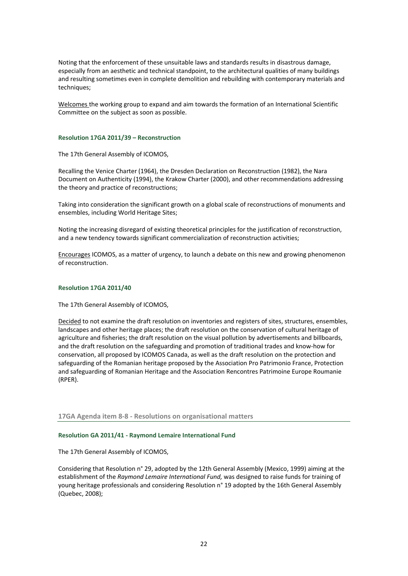Noting that the enforcement of these unsuitable laws and standards results in disastrous damage, especially from an aesthetic and technical standpoint, to the architectural qualities of many buildings and resulting sometimes even in complete demolition and rebuilding with contemporary materials and techniques;

Welcomes the working group to expand and aim towards the formation of an International Scientific Committee on the subject as soon as possible.

#### **Resolution 17GA 2011/39 – Reconstruction**

The 17th General Assembly of ICOMOS,

Recalling the Venice Charter (1964), the Dresden Declaration on Reconstruction (1982), the Nara Document on Authenticity (1994), the Krakow Charter (2000), and other recommendations addressing the theory and practice of reconstructions;

Taking into consideration the significant growth on a global scale of reconstructions of monuments and ensembles, including World Heritage Sites;

Noting the increasing disregard of existing theoretical principles for the justification of reconstruction, and a new tendency towards significant commercialization of reconstruction activities;

Encourages ICOMOS, as a matter of urgency, to launch a debate on this new and growing phenomenon of reconstruction.

#### **Resolution 17GA 2011/40**

The 17th General Assembly of ICOMOS,

Decided to not examine the draft resolution on inventories and registers of sites, structures, ensembles, landscapes and other heritage places; the draft resolution on the conservation of cultural heritage of agriculture and fisheries; the draft resolution on the visual pollution by advertisements and billboards, and the draft resolution on the safeguarding and promotion of traditional trades and know‐how for conservation, all proposed by ICOMOS Canada, as well as the draft resolution on the protection and safeguarding of the Romanian heritage proposed by the Association Pro Patrimonio France, Protection and safeguarding of Romanian Heritage and the Association Rencontres Patrimoine Europe Roumanie (RPER).

**17GA Agenda item 8‐8 ‐ Resolutions on organisational matters**

#### **Resolution GA 2011/41 ‐ Raymond Lemaire International Fund**

The 17th General Assembly of ICOMOS,

Considering that Resolution n° 29, adopted by the 12th General Assembly (Mexico, 1999) aiming at the establishment of the *Raymond Lemaire International Fund,* was designed to raise funds for training of young heritage professionals and considering Resolution n° 19 adopted by the 16th General Assembly (Quebec, 2008);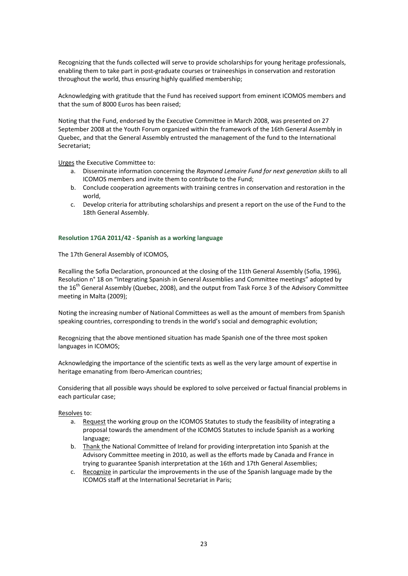Recognizing that the funds collected will serve to provide scholarships for young heritage professionals, enabling them to take part in post‐graduate courses or traineeships in conservation and restoration throughout the world, thus ensuring highly qualified membership;

Acknowledging with gratitude that the Fund has received support from eminent ICOMOS members and that the sum of 8000 Euros has been raised;

Noting that the Fund, endorsed by the Executive Committee in March 2008, was presented on 27 September 2008 at the Youth Forum organized within the framework of the 16th General Assembly in Quebec, and that the General Assembly entrusted the management of the fund to the International Secretariat;

Urges the Executive Committee to:

- a. Disseminate information concerning the *Raymond Lemaire Fund for next generation skills* to all ICOMOS members and invite them to contribute to the Fund;
- b. Conclude cooperation agreements with training centres in conservation and restoration in the world,
- c. Develop criteria for attributing scholarships and present a report on the use of the Fund to the 18th General Assembly.

#### **Resolution 17GA 2011/42 ‐ Spanish as a working language**

The 17th General Assembly of ICOMOS,

Recalling the Sofia Declaration, pronounced at the closing of the 11th General Assembly (Sofia, 1996), Resolution n° 18 on "Integrating Spanish in General Assemblies and Committee meetings" adopted by the 16<sup>th</sup> General Assembly (Quebec, 2008), and the output from Task Force 3 of the Advisory Committee meeting in Malta (2009);

Noting the increasing number of National Committees as well as the amount of members from Spanish speaking countries, corresponding to trends in the world's social and demographic evolution;

Recognizing that the above mentioned situation has made Spanish one of the three most spoken languages in ICOMOS;

Acknowledging the importance of the scientific texts as well as the very large amount of expertise in heritage emanating from Ibero‐American countries;

Considering that all possible ways should be explored to solve perceived or factual financial problems in each particular case;

Resolves to:

- a. Request the working group on the ICOMOS Statutes to study the feasibility of integrating a proposal towards the amendment of the ICOMOS Statutes to include Spanish as a working language;
- b. Thank the National Committee of Ireland for providing interpretation into Spanish at the Advisory Committee meeting in 2010, as well as the efforts made by Canada and France in trying to guarantee Spanish interpretation at the 16th and 17th General Assemblies;
- c. Recognize in particular the improvements in the use of the Spanish language made by the ICOMOS staff at the International Secretariat in Paris;